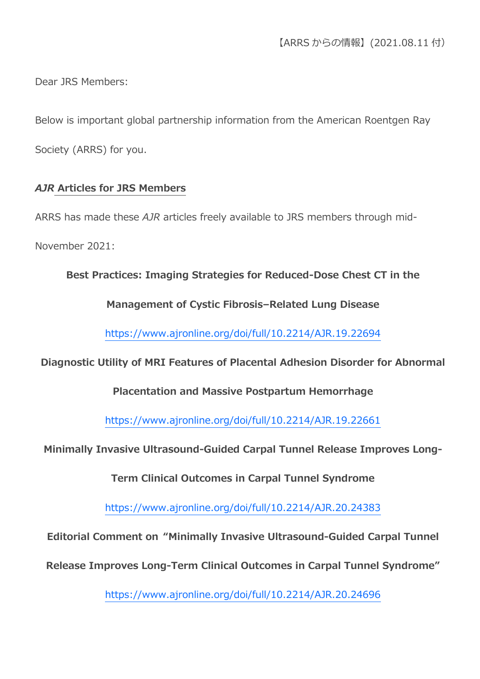Dear JRS Members:

Below is important global partnership information from the American Roentgen Ray Society (ARRS) for you.

#### *AJR* **Articles for JRS Members**

ARRS has made these *AJR* articles freely available to JRS members through mid-November 2021:

**Best Practices: Imaging Strategies for Reduced-Dose Chest CT in the** 

**Management of Cystic Fibrosis–Related Lung Disease**

<https://www.ajronline.org/doi/full/10.2214/AJR.19.22694>

#### **Diagnostic Utility of MRI Features of Placental Adhesion Disorder for Abnormal**

**Placentation and Massive Postpartum Hemorrhage**

<https://www.ajronline.org/doi/full/10.2214/AJR.19.22661>

**Minimally Invasive Ultrasound-Guided Carpal Tunnel Release Improves Long-**

**Term Clinical Outcomes in Carpal Tunnel Syndrome**

<https://www.ajronline.org/doi/full/10.2214/AJR.20.24383>

**Editorial Comment on "Minimally Invasive Ultrasound-Guided Carpal Tunnel** 

**Release Improves Long-Term Clinical Outcomes in Carpal Tunnel Syndrome"**

<https://www.ajronline.org/doi/full/10.2214/AJR.20.24696>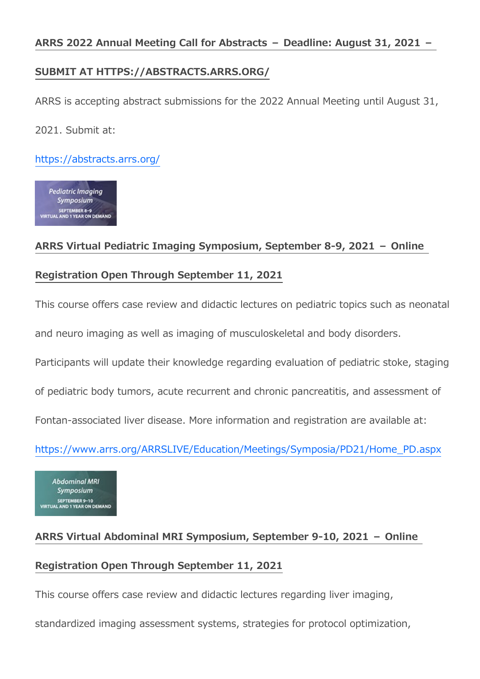## **SUBMIT AT HTTPS://ABSTRACTS.ARRS.ORG/**

ARRS is accepting abstract submissions for the 2022 Annual Meeting until August 31, 2021. Submit at:

<https://abstracts.arrs.org/>

**Pediatric Imaging** Symposium SEPTEMBER 8-9<br>VIRTUAL AND 1 YEAR ON DEMAND

## **ARRS Virtual Pediatric Imaging Symposium, September 8-9, 2021 – Online**

## **Registration Open Through September 11, 2021**

This course offers case review and didactic lectures on pediatric topics such as neonatal

and neuro imaging as well as imaging of musculoskeletal and body disorders.

Participants will update their knowledge regarding evaluation of pediatric stoke, staging

of pediatric body tumors, acute recurrent and chronic pancreatitis, and assessment of

Fontan-associated liver disease. More information and registration are available at:

[https://www.arrs.org/ARRSLIVE/Education/Meetings/Symposia/PD21/Home\\_PD.aspx](https://www.arrs.org/ARRSLIVE/Education/Meetings/Symposia/PD21/Home_PD.aspx)

**Abdominal MRI** Symposium SEPTEMBER 9-10<br>VIRTUAL AND 1 YEAR ON DEMAND

# **ARRS Virtual Abdominal MRI Symposium, September 9-10, 2021 – Online Registration Open Through September 11, 2021**

This course offers case review and didactic lectures regarding liver imaging,

standardized imaging assessment systems, strategies for protocol optimization,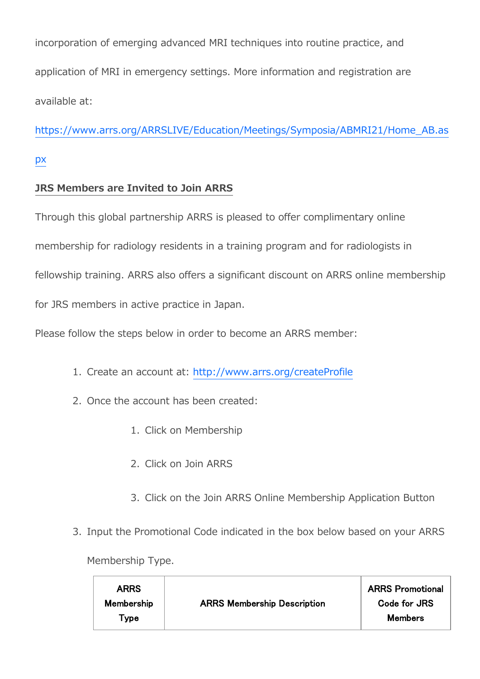incorporation of emerging advanced MRI techniques into routine practice, and application of MRI in emergency settings. More information and registration are available at:

[https://www.arrs.org/ARRSLIVE/Education/Meetings/Symposia/ABMRI21/Home\\_AB.as](https://www.arrs.org/ARRSLIVE/Education/Meetings/Symposia/ABMRI21/Home_AB.aspx)

[px](https://www.arrs.org/ARRSLIVE/Education/Meetings/Symposia/ABMRI21/Home_AB.aspx)

## **JRS Members are Invited to Join ARRS**

Through this global partnership ARRS is pleased to offer complimentary online membership for radiology residents in a training program and for radiologists in fellowship training. ARRS also offers a significant discount on ARRS online membership for JRS members in active practice in Japan.

Please follow the steps below in order to become an ARRS member:

- 1. Create an account at: <http://www.arrs.org/createProfile>
- 2. Once the account has been created:
	- 1. Click on Membership
	- 2. Click on Join ARRS
	- 3. Click on the Join ARRS Online Membership Application Button
- 3. Input the Promotional Code indicated in the box below based on your ARRS

Membership Type.

| <b>ARRS</b> |                                    | <b>ARRS Promotional</b> |
|-------------|------------------------------------|-------------------------|
| Membership  | <b>ARRS Membership Description</b> | Code for JRS            |
| Type        |                                    | <b>Members</b>          |